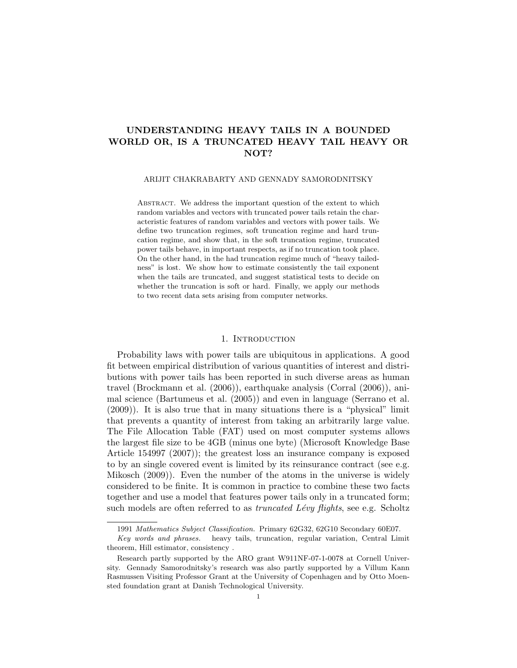# UNDERSTANDING HEAVY TAILS IN A BOUNDED WORLD OR, IS A TRUNCATED HEAVY TAIL HEAVY OR NOT?

#### ARIJIT CHAKRABARTY AND GENNADY SAMORODNITSKY

ABSTRACT. We address the important question of the extent to which random variables and vectors with truncated power tails retain the characteristic features of random variables and vectors with power tails. We define two truncation regimes, soft truncation regime and hard truncation regime, and show that, in the soft truncation regime, truncated power tails behave, in important respects, as if no truncation took place. On the other hand, in the had truncation regime much of "heavy tailedness" is lost. We show how to estimate consistently the tail exponent when the tails are truncated, and suggest statistical tests to decide on whether the truncation is soft or hard. Finally, we apply our methods to two recent data sets arising from computer networks.

## 1. INTRODUCTION

Probability laws with power tails are ubiquitous in applications. A good fit between empirical distribution of various quantities of interest and distributions with power tails has been reported in such diverse areas as human travel (Brockmann et al. (2006)), earthquake analysis (Corral (2006)), animal science (Bartumeus et al. (2005)) and even in language (Serrano et al. (2009)). It is also true that in many situations there is a "physical" limit that prevents a quantity of interest from taking an arbitrarily large value. The File Allocation Table (FAT) used on most computer systems allows the largest file size to be 4GB (minus one byte) (Microsoft Knowledge Base Article 154997 (2007)); the greatest loss an insurance company is exposed to by an single covered event is limited by its reinsurance contract (see e.g. Mikosch (2009)). Even the number of the atoms in the universe is widely considered to be finite. It is common in practice to combine these two facts together and use a model that features power tails only in a truncated form; such models are often referred to as *truncated Lévy flights*, see e.g. Scholtz

<sup>1991</sup> Mathematics Subject Classification. Primary 62G32, 62G10 Secondary 60E07.

Key words and phrases. heavy tails, truncation, regular variation, Central Limit theorem, Hill estimator, consistency .

Research partly supported by the ARO grant W911NF-07-1-0078 at Cornell University. Gennady Samorodnitsky's research was also partly supported by a Villum Kann Rasmussen Visiting Professor Grant at the University of Copenhagen and by Otto Moensted foundation grant at Danish Technological University.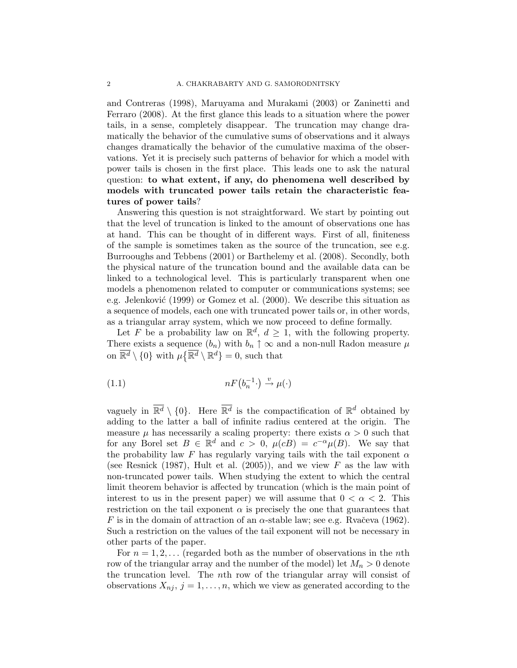and Contreras (1998), Maruyama and Murakami (2003) or Zaninetti and Ferraro (2008). At the first glance this leads to a situation where the power tails, in a sense, completely disappear. The truncation may change dramatically the behavior of the cumulative sums of observations and it always changes dramatically the behavior of the cumulative maxima of the observations. Yet it is precisely such patterns of behavior for which a model with power tails is chosen in the first place. This leads one to ask the natural question: to what extent, if any, do phenomena well described by models with truncated power tails retain the characteristic features of power tails?

Answering this question is not straightforward. We start by pointing out that the level of truncation is linked to the amount of observations one has at hand. This can be thought of in different ways. First of all, finiteness of the sample is sometimes taken as the source of the truncation, see e.g. Burrooughs and Tebbens (2001) or Barthelemy et al. (2008). Secondly, both the physical nature of the truncation bound and the available data can be linked to a technological level. This is particularly transparent when one models a phenomenon related to computer or communications systems; see e.g. Jelenković (1999) or Gomez et al. (2000). We describe this situation as a sequence of models, each one with truncated power tails or, in other words, as a triangular array system, which we now proceed to define formally.

Let F be a probability law on  $\mathbb{R}^d$ ,  $d \geq 1$ , with the following property. There exists a sequence  $(b_n)$  with  $b_n \uparrow \infty$  and a non-null Radon measure  $\mu$ on  $\overline{\mathbb{R}^d} \setminus \{0\}$  with  $\mu\{\overline{\mathbb{R}^d} \setminus \mathbb{R}^d\} = 0$ , such that

(1.1) 
$$
nF(b_n^{-1} \cdot) \xrightarrow{v} \mu(\cdot)
$$

vaguely in  $\overline{\mathbb{R}^d} \setminus \{0\}$ . Here  $\overline{\mathbb{R}^d}$  is the compactification of  $\mathbb{R}^d$  obtained by adding to the latter a ball of infinite radius centered at the origin. The measure  $\mu$  has necessarily a scaling property: there exists  $\alpha > 0$  such that for any Borel set  $B \in \mathbb{R}^d$  and  $c > 0$ ,  $\mu(cB) = c^{-\alpha}\mu(B)$ . We say that the probability law F has regularly varying tails with the tail exponent  $\alpha$ (see Resnick (1987), Hult et al. (2005)), and we view  $F$  as the law with non-truncated power tails. When studying the extent to which the central limit theorem behavior is affected by truncation (which is the main point of interest to us in the present paper) we will assume that  $0 < \alpha < 2$ . This restriction on the tail exponent  $\alpha$  is precisely the one that guarantees that F is in the domain of attraction of an  $\alpha$ -stable law; see e.g. Rvačeva (1962). Such a restriction on the values of the tail exponent will not be necessary in other parts of the paper.

For  $n = 1, 2, \ldots$  (regarded both as the number of observations in the *n*th row of the triangular array and the number of the model) let  $M_n > 0$  denote the truncation level. The nth row of the triangular array will consist of observations  $X_{nj}$ ,  $j = 1, \ldots, n$ , which we view as generated according to the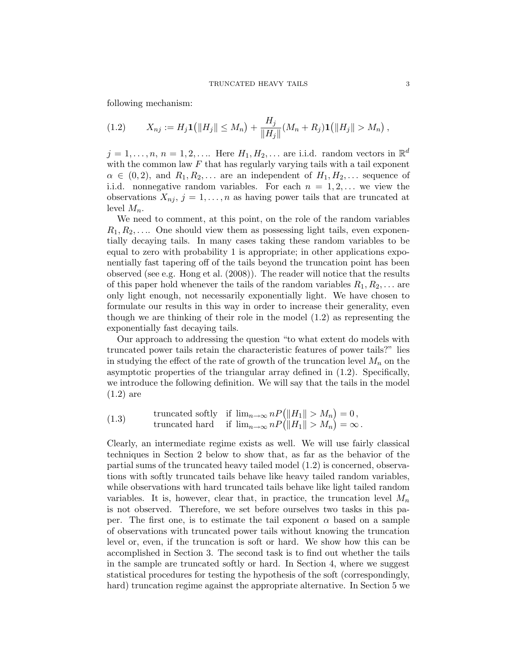following mechanism:

$$
(1.2) \tX_{nj} := H_j \mathbf{1} (||H_j|| \le M_n) + \frac{H_j}{||H_j||} (M_n + R_j) \mathbf{1} (||H_j|| > M_n),
$$

 $j = 1, \ldots, n, n = 1, 2, \ldots$  Here  $H_1, H_2, \ldots$  are i.i.d. random vectors in  $\mathbb{R}^d$ with the common law  $F$  that has regularly varying tails with a tail exponent  $\alpha \in (0, 2)$ , and  $R_1, R_2, \ldots$  are an independent of  $H_1, H_2, \ldots$  sequence of i.i.d. nonnegative random variables. For each  $n = 1, 2, \ldots$  we view the observations  $X_{nj}$ ,  $j = 1, \ldots, n$  as having power tails that are truncated at level  $M_n$ .

We need to comment, at this point, on the role of the random variables  $R_1, R_2, \ldots$  One should view them as possessing light tails, even exponentially decaying tails. In many cases taking these random variables to be equal to zero with probability 1 is appropriate; in other applications exponentially fast tapering off of the tails beyond the truncation point has been observed (see e.g. Hong et al. (2008)). The reader will notice that the results of this paper hold whenever the tails of the random variables  $R_1, R_2, \ldots$  are only light enough, not necessarily exponentially light. We have chosen to formulate our results in this way in order to increase their generality, even though we are thinking of their role in the model (1.2) as representing the exponentially fast decaying tails.

Our approach to addressing the question "to what extent do models with truncated power tails retain the characteristic features of power tails?" lies in studying the effect of the rate of growth of the truncation level  $M_n$  on the asymptotic properties of the triangular array defined in (1.2). Specifically, we introduce the following definition. We will say that the tails in the model (1.2) are

(1.3) truncated softly if 
$$
\lim_{n\to\infty} nP(||H_1|| > M_n) = 0
$$
,  
truncated hard if  $\lim_{n\to\infty} nP(||H_1|| > M_n) = \infty$ .

Clearly, an intermediate regime exists as well. We will use fairly classical techniques in Section 2 below to show that, as far as the behavior of the partial sums of the truncated heavy tailed model (1.2) is concerned, observations with softly truncated tails behave like heavy tailed random variables, while observations with hard truncated tails behave like light tailed random variables. It is, however, clear that, in practice, the truncation level  $M_n$ is not observed. Therefore, we set before ourselves two tasks in this paper. The first one, is to estimate the tail exponent  $\alpha$  based on a sample of observations with truncated power tails without knowing the truncation level or, even, if the truncation is soft or hard. We show how this can be accomplished in Section 3. The second task is to find out whether the tails in the sample are truncated softly or hard. In Section 4, where we suggest statistical procedures for testing the hypothesis of the soft (correspondingly, hard) truncation regime against the appropriate alternative. In Section 5 we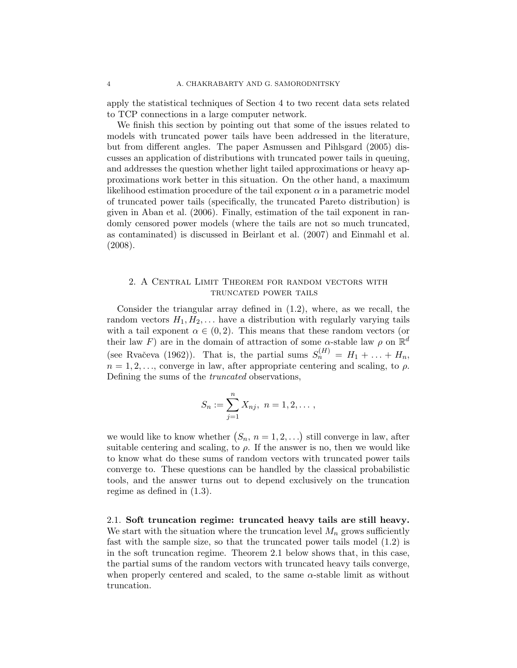apply the statistical techniques of Section 4 to two recent data sets related to TCP connections in a large computer network.

We finish this section by pointing out that some of the issues related to models with truncated power tails have been addressed in the literature, but from different angles. The paper Asmussen and Pihlsgard (2005) discusses an application of distributions with truncated power tails in queuing, and addresses the question whether light tailed approximations or heavy approximations work better in this situation. On the other hand, a maximum likelihood estimation procedure of the tail exponent  $\alpha$  in a parametric model of truncated power tails (specifically, the truncated Pareto distribution) is given in Aban et al. (2006). Finally, estimation of the tail exponent in randomly censored power models (where the tails are not so much truncated, as contaminated) is discussed in Beirlant et al. (2007) and Einmahl et al. (2008).

# 2. A Central Limit Theorem for random vectors with truncated power tails

Consider the triangular array defined in (1.2), where, as we recall, the random vectors  $H_1, H_2, \ldots$  have a distribution with regularly varying tails with a tail exponent  $\alpha \in (0, 2)$ . This means that these random vectors (or their law F) are in the domain of attraction of some  $\alpha$ -stable law  $\rho$  on  $\mathbb{R}^d$ (see Rvačeva (1962)). That is, the partial sums  $S_n^{(H)} = H_1 + \ldots + H_n$ ,  $n = 1, 2, \ldots$ , converge in law, after appropriate centering and scaling, to  $\rho$ . Defining the sums of the truncated observations,

$$
S_n := \sum_{j=1}^n X_{nj}, \ n = 1, 2, \dots,
$$

we would like to know whether  $(S_n, n = 1, 2, ...)$  still converge in law, after suitable centering and scaling, to  $\rho$ . If the answer is no, then we would like to know what do these sums of random vectors with truncated power tails converge to. These questions can be handled by the classical probabilistic tools, and the answer turns out to depend exclusively on the truncation regime as defined in (1.3).

2.1. Soft truncation regime: truncated heavy tails are still heavy. We start with the situation where the truncation level  $M_n$  grows sufficiently fast with the sample size, so that the truncated power tails model (1.2) is in the soft truncation regime. Theorem 2.1 below shows that, in this case, the partial sums of the random vectors with truncated heavy tails converge, when properly centered and scaled, to the same  $\alpha$ -stable limit as without truncation.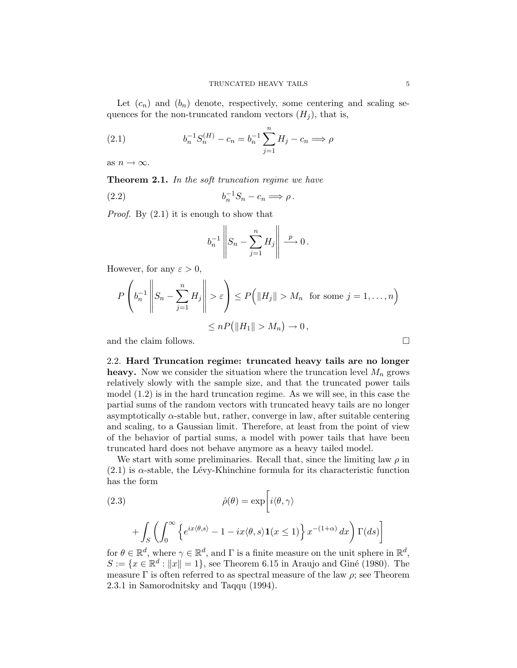Let  $(c_n)$  and  $(b_n)$  denote, respectively, some centering and scaling sequences for the non-truncated random vectors  $(H_i)$ , that is,

(2.1) 
$$
b_n^{-1}S_n^{(H)} - c_n = b_n^{-1} \sum_{j=1}^n H_j - c_n \Longrightarrow \rho
$$

as  $n \to \infty$ .

**Theorem 2.1.** In the soft truncation regime we have

(2.2) 
$$
b_n^{-1}S_n - c_n \Longrightarrow \rho.
$$

Proof. By (2.1) it is enough to show that

$$
b_n^{-1} \left\| S_n - \sum_{j=1}^n H_j \right\| \stackrel{p}{\longrightarrow} 0.
$$

However, for any  $\varepsilon > 0$ ,

$$
P\left(b_n^{-1}\left\|S_n - \sum_{j=1}^n H_j\right\| > \varepsilon\right) \le P\left(\|H_j\| > M_n \text{ for some } j = 1,\dots, n\right)
$$
  

$$
\le nP\left(\|H_1\| > M_n\right) \to 0,
$$

and the claim follows.  $\Box$ 

2.2. Hard Truncation regime: truncated heavy tails are no longer heavy. Now we consider the situation where the truncation level  $M_n$  grows relatively slowly with the sample size, and that the truncated power tails model (1.2) is in the hard truncation regime. As we will see, in this case the partial sums of the random vectors with truncated heavy tails are no longer asymptotically α-stable but, rather, converge in law, after suitable centering and scaling, to a Gaussian limit. Therefore, at least from the point of view of the behavior of partial sums, a model with power tails that have been truncated hard does not behave anymore as a heavy tailed model.

We start with some preliminaries. Recall that, since the limiting law  $\rho$  in  $(2.1)$  is  $\alpha$ -stable, the Lévy-Khinchine formula for its characteristic function has the form

(2.3)  
\n
$$
\hat{\rho}(\theta) = \exp\left[i\langle\theta, \gamma\rangle + \int_{S} \left(\int_{0}^{\infty} \left\{e^{ix\langle\theta, s\rangle} - 1 - ix\langle\theta, s\rangle \mathbf{1}(x \le 1)\right\} x^{-(1+\alpha)} dx\right) \Gamma(ds)\right]
$$

for  $\theta \in \mathbb{R}^d$ , where  $\gamma \in \mathbb{R}^d$ , and  $\Gamma$  is a finite measure on the unit sphere in  $\mathbb{R}^d$ ,  $S := \{x \in \mathbb{R}^d : ||x|| = 1\}$ , see Theorem 6.15 in Araujo and Giné (1980). The measure  $\Gamma$  is often referred to as spectral measure of the law  $\rho$ ; see Theorem 2.3.1 in Samorodnitsky and Taqqu (1994).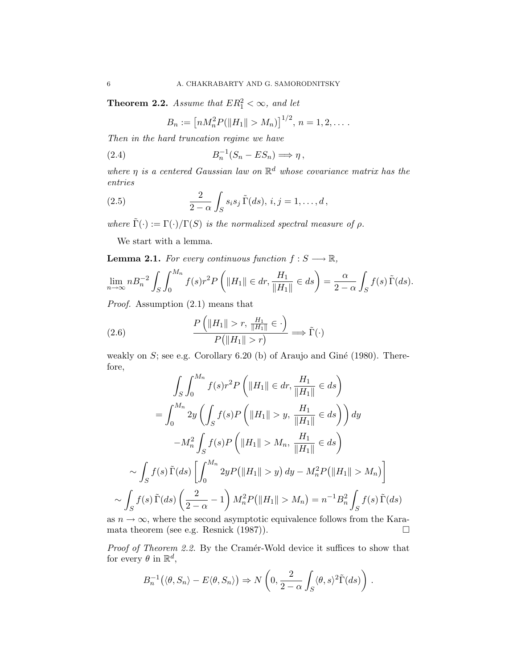**Theorem 2.2.** Assume that  $ER_1^2 < \infty$ , and let

$$
B_n := [n M_n^2 P(||H_1|| > M_n)]^{1/2}, n = 1, 2, \dots
$$

Then in the hard truncation regime we have

(2.4) 
$$
B_n^{-1}(S_n - ES_n) \Longrightarrow \eta,
$$

where  $\eta$  is a centered Gaussian law on  $\mathbb{R}^d$  whose covariance matrix has the entries

(2.5) 
$$
\frac{2}{2-\alpha}\int_{S} s_i s_j \tilde{\Gamma}(ds), i,j=1,\ldots,d,
$$

where  $\tilde{\Gamma}(\cdot) := \Gamma(\cdot)/\Gamma(S)$  is the normalized spectral measure of  $\rho$ .

We start with a lemma.

**Lemma 2.1.** For every continuous function  $f : S \longrightarrow \mathbb{R}$ ,

$$
\lim_{n \to \infty} n B_n^{-2} \int_S \int_0^{M_n} f(s) r^2 P\left(\|H_1\| \in dr, \frac{H_1}{\|H_1\|} \in ds\right) = \frac{\alpha}{2 - \alpha} \int_S f(s) \, \tilde{\Gamma}(ds).
$$

Proof. Assumption (2.1) means that

(2.6) 
$$
\frac{P\left(\|H_1\|>r,\frac{H_1}{\|H_1\|}\in\cdot\right)}{P(\|H_1\|>r)}\Longrightarrow\tilde{\Gamma}(\cdot)
$$

weakly on  $S$ ; see e.g. Corollary 6.20 (b) of Araujo and Giné (1980). Therefore,

$$
\int_{S} \int_{0}^{M_n} f(s)r^2 P\left(\|H_1\| \in dr, \frac{H_1}{\|H_1\|} \in ds\right)
$$

$$
= \int_{0}^{M_n} 2y \left(\int_{S} f(s) P\left(\|H_1\| > y, \frac{H_1}{\|H_1\|} \in ds\right)\right) dy
$$

$$
-M_n^2 \int_{S} f(s) P\left(\|H_1\| > M_n, \frac{H_1}{\|H_1\|} \in ds\right)
$$

$$
\sim \int_{S} f(s) \tilde{\Gamma}(ds) \left[\int_{0}^{M_n} 2y P(\|H_1\| > y) dy - M_n^2 P(\|H_1\| > M_n)\right]
$$

$$
\sim \int_{S} f(s) \tilde{\Gamma}(ds) \left(\frac{2}{2-\alpha} - 1\right) M_n^2 P(\|H_1\| > M_n) = n^{-1} B_n^2 \int_{S} f(s) \tilde{\Gamma}(ds)
$$

as  $n \to \infty$ , where the second asymptotic equivalence follows from the Karamata theorem (see e.g. Resnick (1987)).  $\square$ 

Proof of Theorem 2.2. By the Cramér-Wold device it suffices to show that for every  $\theta$  in  $\mathbb{R}^d$ ,

$$
B_n^{-1}(\langle \theta, S_n \rangle - E \langle \theta, S_n \rangle) \Rightarrow N\left(0, \frac{2}{2-\alpha} \int_S \langle \theta, s \rangle^2 \tilde{\Gamma}(ds)\right).
$$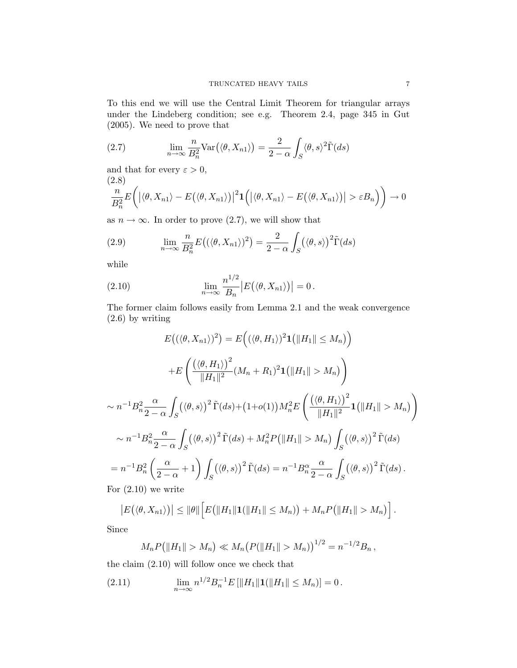To this end we will use the Central Limit Theorem for triangular arrays under the Lindeberg condition; see e.g. Theorem 2.4, page 345 in Gut (2005). We need to prove that

(2.7) 
$$
\lim_{n \to \infty} \frac{n}{B_n^2} \text{Var}(\langle \theta, X_{n1} \rangle) = \frac{2}{2 - \alpha} \int_S \langle \theta, s \rangle^2 \tilde{\Gamma}(ds)
$$

and that for every  $\varepsilon > 0$ ,  $(2.8)$ 

$$
\frac{n}{B_n^2}E\bigg(\big|\langle \theta, X_{n1} \rangle - E\big(\langle \theta, X_{n1} \rangle\big)\big|^2 \mathbf{1}\bigg(\big|\langle \theta, X_{n1} \rangle - E\big(\langle \theta, X_{n1} \rangle\big)\big| > \varepsilon B_n\bigg)\bigg) \to 0
$$

as  $n \to \infty$ . In order to prove (2.7), we will show that

(2.9) 
$$
\lim_{n \to \infty} \frac{n}{B_n^2} E\big((\langle \theta, X_{n1} \rangle)^2\big) = \frac{2}{2 - \alpha} \int_S (\langle \theta, s \rangle)^2 \tilde{\Gamma}(ds)
$$

while

(2.10) 
$$
\lim_{n \to \infty} \frac{n^{1/2}}{B_n} |E(\langle \theta, X_{n1} \rangle)| = 0.
$$

The former claim follows easily from Lemma 2.1 and the weak convergence (2.6) by writing

$$
E((\langle \theta, X_{n1} \rangle)^2) = E((\langle \theta, H_1 \rangle)^2 \mathbf{1}(\|H_1\| \le M_n))
$$
  
+
$$
E\left(\frac{(\langle \theta, H_1 \rangle)^2}{\|H_1\|^2} (M_n + R_1)^2 \mathbf{1}(\|H_1\| > M_n)\right)
$$
  

$$
\sim n^{-1} B_n^2 \frac{\alpha}{2 - \alpha} \int_S (\langle \theta, s \rangle)^2 \tilde{\Gamma}(ds) + (1 + o(1)) M_n^2 E\left(\frac{(\langle \theta, H_1 \rangle)^2}{\|H_1\|^2} \mathbf{1}(\|H_1\| > M_n)\right)
$$
  

$$
\sim n^{-1} B_n^2 \frac{\alpha}{2 - \alpha} \int_S (\langle \theta, s \rangle)^2 \tilde{\Gamma}(ds) + M_n^2 P(\|H_1\| > M_n) \int_S (\langle \theta, s \rangle)^2 \tilde{\Gamma}(ds)
$$
  
=
$$
n^{-1} B_n^2 \left(\frac{\alpha}{2 - \alpha} + 1\right) \int_S (\langle \theta, s \rangle)^2 \tilde{\Gamma}(ds) = n^{-1} B_n^{\alpha} \frac{\alpha}{2 - \alpha} \int_S (\langle \theta, s \rangle)^2 \tilde{\Gamma}(ds).
$$
  
For (2.10) we write

 $(2.10)$ 

$$
\big|E\big(\langle \theta, X_{n1}\rangle\big)\big| \leq \|\theta\| \Big[E\big(\|H_1\|{\bf 1}(\|H_1\| \leq M_n)\big) + M_n P\big(\|H_1\| > M_n\big)\Big].
$$

Since

$$
M_n P(|H_1|| > M_n) \ll M_n (P(||H_1|| > M_n))^{1/2} = n^{-1/2} B_n,
$$

the claim (2.10) will follow once we check that

(2.11) 
$$
\lim_{n \to \infty} n^{1/2} B_n^{-1} E[\|H_1\| \mathbf{1}(\|H_1\| \le M_n)] = 0.
$$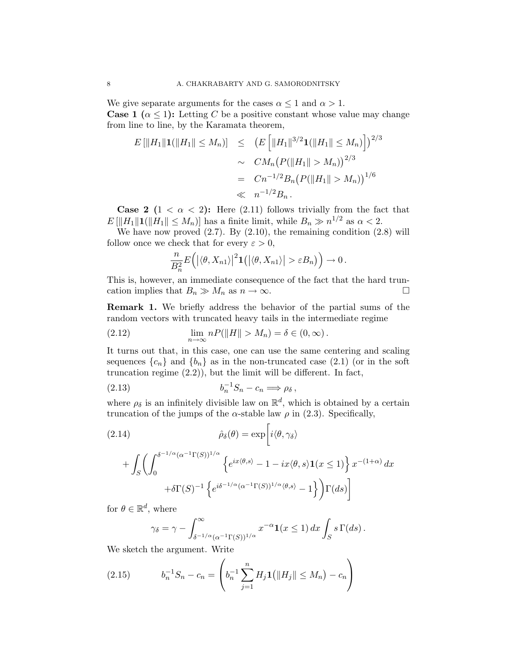We give separate arguments for the cases  $\alpha \leq 1$  and  $\alpha > 1$ . **Case 1** ( $\alpha \leq 1$ ): Letting C be a positive constant whose value may change from line to line, by the Karamata theorem,

$$
E[\|H_1\|1(\|H_1\| \le M_n)] \le (E\left[\|H_1\|^{3/2}1(\|H_1\| \le M_n)\right])^{2/3}
$$
  

$$
\sim CM_n(P(\|H_1\| > M_n))^{2/3}
$$
  

$$
= Cn^{-1/2}B_n(P(\|H_1\| > M_n))^{1/6}
$$
  

$$
\ll n^{-1/2}B_n.
$$

**Case 2** (1 <  $\alpha$  < 2): Here (2.11) follows trivially from the fact that  $E[\Vert H_1 \Vert 1(\Vert H_1 \Vert \leq M_n)]$  has a finite limit, while  $B_n \gg n^{1/2}$  as  $\alpha < 2$ .

We have now proved  $(2.7)$ . By  $(2.10)$ , the remaining condition  $(2.8)$  will follow once we check that for every  $\varepsilon > 0$ ,

$$
\frac{n}{B_n^2}E\Big(\big|\langle\theta,X_{n1}\rangle\big|^2{\bf 1}\big(\big|\langle\theta,X_{n1}\rangle\big|>\varepsilon B_n\big)\Big)\to 0\,.
$$

This is, however, an immediate consequence of the fact that the hard truncation implies that  $B_n \gg M_n$  as  $n \to \infty$ .

Remark 1. We briefly address the behavior of the partial sums of the random vectors with truncated heavy tails in the intermediate regime

(2.12) 
$$
\lim_{n \to \infty} nP(||H|| > M_n) = \delta \in (0, \infty).
$$

It turns out that, in this case, one can use the same centering and scaling sequences  ${c_n}$  and  ${b_n}$  as in the non-truncated case (2.1) (or in the soft truncation regime (2.2)), but the limit will be different. In fact,

$$
(2.13) \t\t b_n^{-1} S_n - c_n \Longrightarrow \rho_\delta,
$$

where  $\rho_{\delta}$  is an infinitely divisible law on  $\mathbb{R}^{d}$ , which is obtained by a certain truncation of the jumps of the  $\alpha$ -stable law  $\rho$  in (2.3). Specifically,

(2.14) 
$$
\hat{\rho}_{\delta}(\theta) = \exp \left[ i \langle \theta, \gamma_{\delta} \rangle \right]
$$

+ 
$$
\int_{S} \left( \int_{0}^{\delta^{-1/\alpha} (\alpha^{-1} \Gamma(S))^{1/\alpha}} \left\{ e^{ix \langle \theta, s \rangle} - 1 - ix \langle \theta, s \rangle \mathbf{1}(x \le 1) \right\} x^{-(1+\alpha)} dx + \delta \Gamma(S)^{-1} \left\{ e^{i \delta^{-1/\alpha} (\alpha^{-1} \Gamma(S))^{1/\alpha} \langle \theta, s \rangle} - 1 \right\} \right) \Gamma(ds) \right]
$$

for  $\theta \in \mathbb{R}^d$ , where

$$
\gamma_{\delta} = \gamma - \int_{\delta^{-1/\alpha} (\alpha^{-1} \Gamma(S))^{1/\alpha}}^{\infty} x^{-\alpha} \mathbf{1}(x \le 1) dx \int_{S} s \Gamma(ds).
$$

We sketch the argument. Write

(2.15) 
$$
b_n^{-1}S_n - c_n = \left(b_n^{-1}\sum_{j=1}^n H_j \mathbf{1}\left(\|H_j\| \le M_n\right) - c_n\right)
$$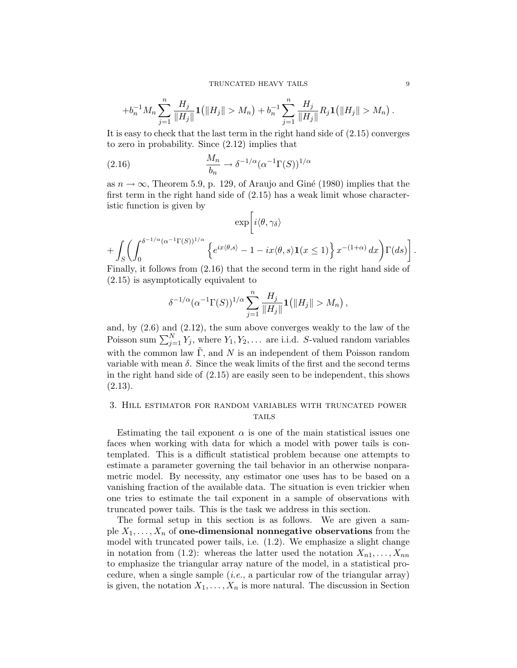$$
+b_n^{-1}M_n\sum_{j=1}^n\frac{H_j}{\|H_j\|}\mathbf{1}\big(\|H_j\|>M_n\big)+b_n^{-1}\sum_{j=1}^n\frac{H_j}{\|H_j\|}R_j\mathbf{1}\big(\|H_j\|>M_n\big)\,.
$$

It is easy to check that the last term in the right hand side of (2.15) converges to zero in probability. Since (2.12) implies that

(2.16) 
$$
\frac{M_n}{b_n} \to \delta^{-1/\alpha} (\alpha^{-1} \Gamma(S))^{1/\alpha}
$$

as  $n \to \infty$ , Theorem 5.9, p. 129, of Araujo and Giné (1980) implies that the first term in the right hand side of (2.15) has a weak limit whose characteristic function is given by

$$
\exp\left[i\langle\theta,\gamma_{\delta}\rangle\right]
$$

$$
+\int_{S}\left(\int_{0}^{\delta^{-1/\alpha}(\alpha^{-1}\Gamma(S))^{1/\alpha}}\left\{e^{ix\langle\theta,s\rangle}-1-ix\langle\theta,s\rangle\mathbf{1}(x\leq 1)\right\}x^{-(1+\alpha)}dx\right)\Gamma(ds)\right]
$$

Finally, it follows from (2.16) that the second term in the right hand side of (2.15) is asymptotically equivalent to

$$
\delta^{-1/\alpha} (\alpha^{-1} \Gamma(S))^{1/\alpha} \sum_{j=1}^n \frac{H_j}{\|H_j\|} \mathbf{1}(|H_j| > M_n),
$$

and, by (2.6) and (2.12), the sum above converges weakly to the law of the Poisson sum  $\sum_{j=1}^{N} Y_j$ , where  $Y_1, Y_2, \ldots$  are i.i.d. S-valued random variables with the common law  $\tilde{\Gamma}$ , and N is an independent of them Poisson random variable with mean  $\delta$ . Since the weak limits of the first and the second terms in the right hand side of (2.15) are easily seen to be independent, this shows  $(2.13).$ 

# 3. Hill estimator for random variables with truncated power **TAILS**

Estimating the tail exponent  $\alpha$  is one of the main statistical issues one faces when working with data for which a model with power tails is contemplated. This is a difficult statistical problem because one attempts to estimate a parameter governing the tail behavior in an otherwise nonparametric model. By necessity, any estimator one uses has to be based on a vanishing fraction of the available data. The situation is even trickier when one tries to estimate the tail exponent in a sample of observations with truncated power tails. This is the task we address in this section.

The formal setup in this section is as follows. We are given a sample  $X_1, \ldots, X_n$  of **one-dimensional nonnegative observations** from the model with truncated power tails, i.e. (1.2). We emphasize a slight change in notation from (1.2): whereas the latter used the notation  $X_{n1}, \ldots, X_{nn}$ to emphasize the triangular array nature of the model, in a statistical procedure, when a single sample  $(i.e., a particular row of the triangular array)$ is given, the notation  $X_1, \ldots, X_n$  is more natural. The discussion in Section

.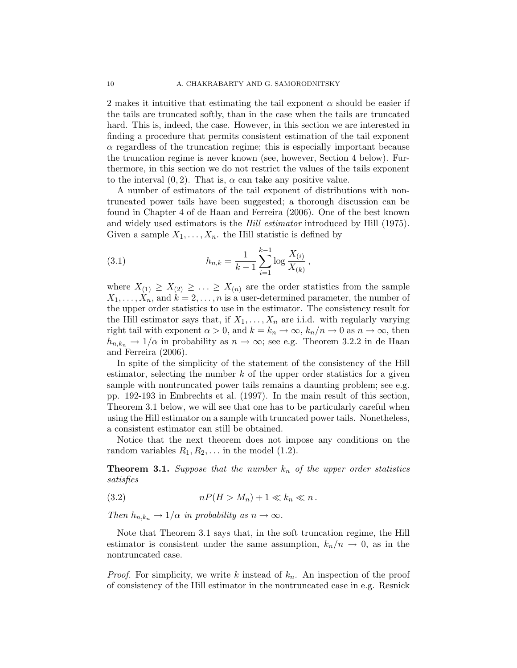2 makes it intuitive that estimating the tail exponent  $\alpha$  should be easier if the tails are truncated softly, than in the case when the tails are truncated hard. This is, indeed, the case. However, in this section we are interested in finding a procedure that permits consistent estimation of the tail exponent  $\alpha$  regardless of the truncation regime; this is especially important because the truncation regime is never known (see, however, Section 4 below). Furthermore, in this section we do not restrict the values of the tails exponent to the interval  $(0, 2)$ . That is,  $\alpha$  can take any positive value.

A number of estimators of the tail exponent of distributions with nontruncated power tails have been suggested; a thorough discussion can be found in Chapter 4 of de Haan and Ferreira (2006). One of the best known and widely used estimators is the *Hill estimator* introduced by Hill (1975). Given a sample  $X_1, \ldots, X_n$ . the Hill statistic is defined by

(3.1) 
$$
h_{n,k} = \frac{1}{k-1} \sum_{i=1}^{k-1} \log \frac{X_{(i)}}{X_{(k)}},
$$

where  $X_{(1)} \geq X_{(2)} \geq \ldots \geq X_{(n)}$  are the order statistics from the sample  $X_1, \ldots, X_n$ , and  $k = 2, \ldots, n$  is a user-determined parameter, the number of the upper order statistics to use in the estimator. The consistency result for the Hill estimator says that, if  $X_1, \ldots, X_n$  are i.i.d. with regularly varying right tail with exponent  $\alpha > 0$ , and  $k = k_n \to \infty$ ,  $k_n/n \to 0$  as  $n \to \infty$ , then  $h_{n,k_n} \to 1/\alpha$  in probability as  $n \to \infty$ ; see e.g. Theorem 3.2.2 in de Haan and Ferreira (2006).

In spite of the simplicity of the statement of the consistency of the Hill estimator, selecting the number  $k$  of the upper order statistics for a given sample with nontruncated power tails remains a daunting problem; see e.g. pp. 192-193 in Embrechts et al. (1997). In the main result of this section, Theorem 3.1 below, we will see that one has to be particularly careful when using the Hill estimator on a sample with truncated power tails. Nonetheless, a consistent estimator can still be obtained.

Notice that the next theorem does not impose any conditions on the random variables  $R_1, R_2, \ldots$  in the model (1.2).

**Theorem 3.1.** Suppose that the number  $k_n$  of the upper order statistics satisfies

(3.2) nP(H > Mn) + 1 k<sup>n</sup> n .

Then  $h_{n,k_n} \to 1/\alpha$  in probability as  $n \to \infty$ .

Note that Theorem 3.1 says that, in the soft truncation regime, the Hill estimator is consistent under the same assumption,  $k_n/n \to 0$ , as in the nontruncated case.

*Proof.* For simplicity, we write k instead of  $k_n$ . An inspection of the proof of consistency of the Hill estimator in the nontruncated case in e.g. Resnick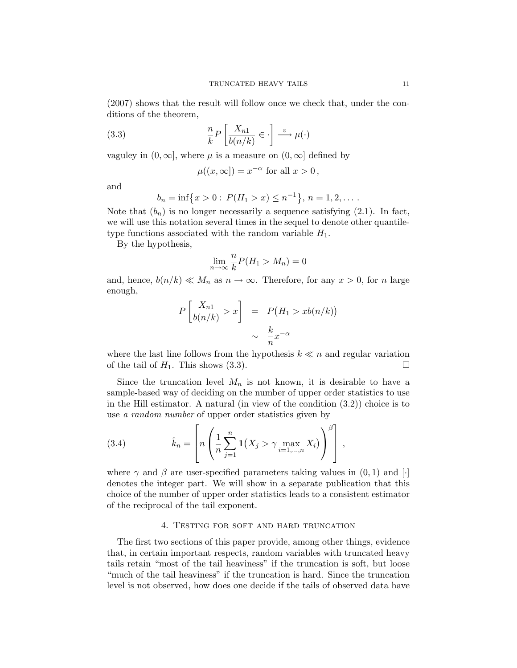(2007) shows that the result will follow once we check that, under the conditions of the theorem,

(3.3) 
$$
\frac{n}{k} P\left[\frac{X_{n1}}{b(n/k)} \in \cdot\right] \xrightarrow{v} \mu(\cdot)
$$

vaguley in  $(0, \infty]$ , where  $\mu$  is a measure on  $(0, \infty]$  defined by

$$
\mu((x,\infty]) = x^{-\alpha} \text{ for all } x > 0,
$$

and

$$
b_n = \inf\{x > 0 : P(H_1 > x) \le n^{-1}\}, n = 1, 2, \dots
$$

Note that  $(b_n)$  is no longer necessarily a sequence satisfying  $(2.1)$ . In fact, we will use this notation several times in the sequel to denote other quantiletype functions associated with the random variable  $H_1$ .

By the hypothesis,

$$
\lim_{n \to \infty} \frac{n}{k} P(H_1 > M_n) = 0
$$

and, hence,  $b(n/k) \ll M_n$  as  $n \to \infty$ . Therefore, for any  $x > 0$ , for n large enough,

$$
P\left[\frac{X_{n1}}{b(n/k)} > x\right] = P\left(H_1 > xb(n/k)\right)
$$

$$
\sim \frac{k}{n} x^{-\alpha}
$$

where the last line follows from the hypothesis  $k \ll n$  and regular variation of the tail of  $H_1$ . This shows (3.3).

Since the truncation level  $M_n$  is not known, it is desirable to have a sample-based way of deciding on the number of upper order statistics to use in the Hill estimator. A natural (in view of the condition (3.2)) choice is to use a random number of upper order statistics given by

(3.4) 
$$
\hat{k}_n = \left[ n \left( \frac{1}{n} \sum_{j=1}^n \mathbf{1}(X_j > \gamma \max_{i=1,...,n} X_i) \right)^{\beta} \right],
$$

where  $\gamma$  and  $\beta$  are user-specified parameters taking values in  $(0, 1)$  and  $[\cdot]$ denotes the integer part. We will show in a separate publication that this choice of the number of upper order statistics leads to a consistent estimator of the reciprocal of the tail exponent.

## 4. Testing for soft and hard truncation

The first two sections of this paper provide, among other things, evidence that, in certain important respects, random variables with truncated heavy tails retain "most of the tail heaviness" if the truncation is soft, but loose "much of the tail heaviness" if the truncation is hard. Since the truncation level is not observed, how does one decide if the tails of observed data have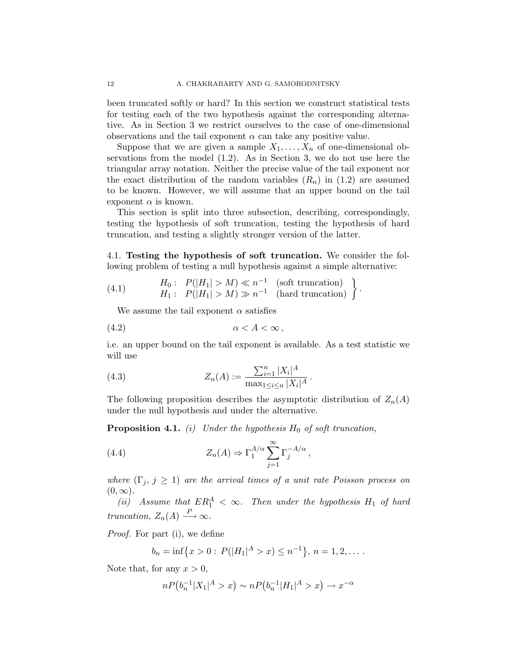been truncated softly or hard? In this section we construct statistical tests for testing each of the two hypothesis against the corresponding alternative. As in Section 3 we restrict ourselves to the case of one-dimensional observations and the tail exponent  $\alpha$  can take any positive value.

Suppose that we are given a sample  $X_1, \ldots, X_n$  of one-dimensional observations from the model (1.2). As in Section 3, we do not use here the triangular array notation. Neither the precise value of the tail exponent nor the exact distribution of the random variables  $(R_n)$  in  $(1.2)$  are assumed to be known. However, we will assume that an upper bound on the tail exponent  $\alpha$  is known.

This section is split into three subsection, describing, correspondingly, testing the hypothesis of soft truncation, testing the hypothesis of hard truncation, and testing a slightly stronger version of the latter.

4.1. Testing the hypothesis of soft truncation. We consider the following problem of testing a null hypothesis against a simple alternative:

(4.1) 
$$
H_0: P(|H_1| > M) \ll n^{-1} \quad \text{(soft truncation)}
$$

$$
H_1: P(|H_1| > M) \gg n^{-1} \quad \text{(hard truncation)} \quad \text{}
$$

We assume the tail exponent  $\alpha$  satisfies

(4.2) α < A < ∞,

i.e. an upper bound on the tail exponent is available. As a test statistic we will use

(4.3) 
$$
Z_n(A) := \frac{\sum_{i=1}^n |X_i|^A}{\max_{1 \le i \le n} |X_i|^A}.
$$

The following proposition describes the asymptotic distribution of  $Z_n(A)$ under the null hypothesis and under the alternative.

**Proposition 4.1.** (i) Under the hypothesis  $H_0$  of soft truncation,

(4.4) 
$$
Z_n(A) \Rightarrow \Gamma_1^{A/\alpha} \sum_{j=1}^{\infty} \Gamma_j^{-A/\alpha},
$$

where  $(\Gamma_j, j \geq 1)$  are the arrival times of a unit rate Poisson process on  $(0, \infty)$ .

(ii) Assume that  $ER_1^A < \infty$ . Then under the hypothesis  $H_1$  of hard truncation,  $Z_n(A) \stackrel{P}{\longrightarrow} \infty$ .

Proof. For part (i), we define

$$
b_n = \inf\left\{x > 0 : P(|H_1|^A > x) \le n^{-1}\right\}, n = 1, 2, \dots
$$

Note that, for any  $x > 0$ ,

$$
nP(b_n^{-1}|X_1|^A > x) \sim nP(b_n^{-1}|H_1|^A > x) \to x^{-\alpha}
$$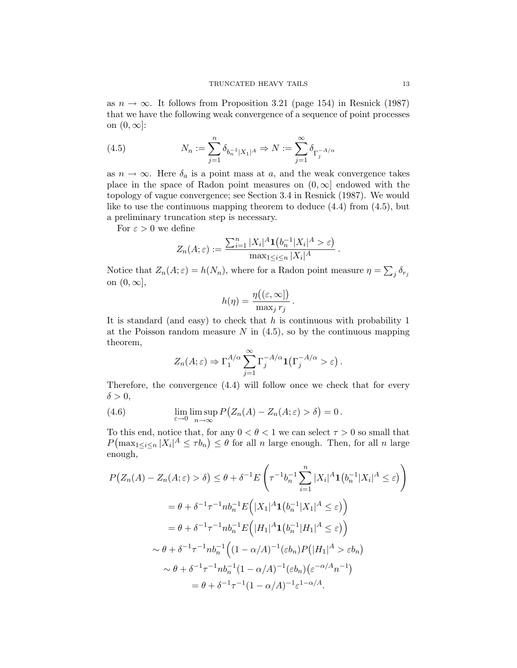as  $n \to \infty$ . It follows from Proposition 3.21 (page 154) in Resnick (1987) that we have the following weak convergence of a sequence of point processes on  $(0, \infty]$ :

(4.5) 
$$
N_n := \sum_{j=1}^n \delta_{b_n^{-1}|X_1|^A} \Rightarrow N := \sum_{j=1}^\infty \delta_{\Gamma_j^{-A/\alpha}}
$$

as  $n \to \infty$ . Here  $\delta_a$  is a point mass at a, and the weak convergence takes place in the space of Radon point measures on  $(0, \infty]$  endowed with the topology of vague convergence; see Section 3.4 in Resnick (1987). We would like to use the continuous mapping theorem to deduce  $(4.4)$  from  $(4.5)$ , but a preliminary truncation step is necessary.

For  $\varepsilon > 0$  we define

$$
Z_n(A; \varepsilon) := \frac{\sum_{i=1}^n |X_i|^A \mathbf{1}(b_n^{-1}|X_i|^A > \varepsilon)}{\max_{1 \le i \le n} |X_i|^A}
$$

.

Notice that  $Z_n(A; \varepsilon) = h(N_n)$ , where for a Radon point measure  $\eta = \sum_j \delta_{r_j}$ on  $(0, \infty]$ ,

$$
h(\eta) = \frac{\eta((\varepsilon, \infty])}{\max_j r_j}.
$$

It is standard (and easy) to check that  $h$  is continuous with probability 1 at the Poisson random measure  $N$  in  $(4.5)$ , so by the continuous mapping theorem,

$$
Z_n(A; \varepsilon) \Rightarrow \Gamma_1^{A/\alpha} \sum_{j=1}^{\infty} \Gamma_j^{-A/\alpha} \mathbf{1} (\Gamma_j^{-A/\alpha} > \varepsilon).
$$

Therefore, the convergence (4.4) will follow once we check that for every  $\delta > 0$ ,

(4.6) 
$$
\lim_{\varepsilon \to 0} \limsup_{n \to \infty} P(Z_n(A) - Z_n(A; \varepsilon) > \delta) = 0.
$$

To this end, notice that, for any  $0 < \theta < 1$  we can select  $\tau > 0$  so small that  $P(\max_{1 \leq i \leq n} |X_i|^A \leq \tau b_n) \leq \theta$  for all n large enough. Then, for all n large enough,

$$
P(Z_n(A) - Z_n(A; \varepsilon) > \delta) \leq \theta + \delta^{-1} E\left(\tau^{-1} b_n^{-1} \sum_{i=1}^n |X_i|^A \mathbf{1}(b_n^{-1} |X_i|^A \leq \varepsilon)\right)
$$
  

$$
= \theta + \delta^{-1} \tau^{-1} nb_n^{-1} E\left(|X_1|^A \mathbf{1}(b_n^{-1} |X_1|^A \leq \varepsilon)\right)
$$
  

$$
= \theta + \delta^{-1} \tau^{-1} nb_n^{-1} E\left(|H_1|^A \mathbf{1}(b_n^{-1} |H_1|^A \leq \varepsilon)\right)
$$
  

$$
\sim \theta + \delta^{-1} \tau^{-1} nb_n^{-1} \left((1 - \alpha/A)^{-1} (\varepsilon b_n) P(|H_1|^A > \varepsilon b_n)\right)
$$
  

$$
\sim \theta + \delta^{-1} \tau^{-1} nb_n^{-1} (1 - \alpha/A)^{-1} (\varepsilon b_n) (\varepsilon^{-\alpha/A} n^{-1})
$$
  

$$
= \theta + \delta^{-1} \tau^{-1} (1 - \alpha/A)^{-1} \varepsilon^{1-\alpha/A}.
$$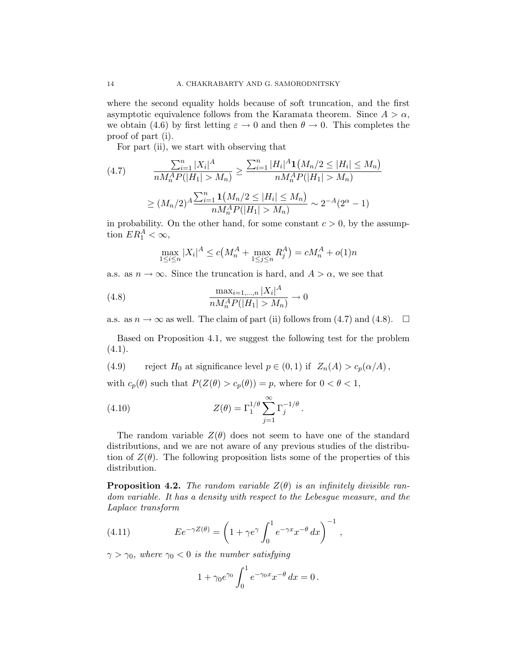where the second equality holds because of soft truncation, and the first asymptotic equivalence follows from the Karamata theorem. Since  $A > \alpha$ , we obtain (4.6) by first letting  $\varepsilon \to 0$  and then  $\theta \to 0$ . This completes the proof of part (i).

For part (ii), we start with observing that

$$
(4.7) \qquad \frac{\sum_{i=1}^{n} |X_i|^A}{n M_n^A P(|H_1| > M_n)} \ge \frac{\sum_{i=1}^{n} |H_i|^A \mathbf{1}(M_n/2 \le |H_i| \le M_n)}{n M_n^A P(|H_1| > M_n)}
$$

$$
\ge (M_n/2)^A \frac{\sum_{i=1}^{n} \mathbf{1}(M_n/2 \le |H_i| \le M_n)}{n M_n^A P(|H_1| > M_n)} \sim 2^{-A} (2^{\alpha} - 1)
$$

in probability. On the other hand, for some constant  $c > 0$ , by the assumption  $ER_1^A < \infty$ ,

$$
\max_{1 \le i \le n} |X_i|^A \le c\big(M_n^A + \max_{1 \le j \le n} R_j^A\big) = cM_n^A + o(1)n
$$

a.s. as  $n \to \infty$ . Since the truncation is hard, and  $A > \alpha$ , we see that

(4.8) 
$$
\frac{\max_{i=1,\dots,n} |X_i|^A}{n M_n^A P(|H_1| > M_n)} \to 0
$$

a.s. as  $n \to \infty$  as well. The claim of part (ii) follows from (4.7) and (4.8).  $\Box$ 

Based on Proposition 4.1, we suggest the following test for the problem  $(4.1).$ 

(4.9) reject  $H_0$  at significance level  $p \in (0,1)$  if  $Z_n(A) > c_p(\alpha/A)$ ,

with  $c_p(\theta)$  such that  $P(Z(\theta) > c_p(\theta)) = p$ , where for  $0 < \theta < 1$ ,

(4.10) 
$$
Z(\theta) = \Gamma_1^{1/\theta} \sum_{j=1}^{\infty} \Gamma_j^{-1/\theta}.
$$

The random variable  $Z(\theta)$  does not seem to have one of the standard distributions, and we are not aware of any previous studies of the distribution of  $Z(\theta)$ . The following proposition lists some of the properties of this distribution.

**Proposition 4.2.** The random variable  $Z(\theta)$  is an infinitely divisible random variable. It has a density with respect to the Lebesgue measure, and the Laplace transform

(4.11) 
$$
E e^{-\gamma Z(\theta)} = \left(1 + \gamma e^{\gamma} \int_0^1 e^{-\gamma x} x^{-\theta} dx\right)^{-1},
$$

 $\gamma > \gamma_0$ , where  $\gamma_0 < 0$  is the number satisfying

$$
1 + \gamma_0 e^{\gamma_0} \int_0^1 e^{-\gamma_0 x} x^{-\theta} dx = 0.
$$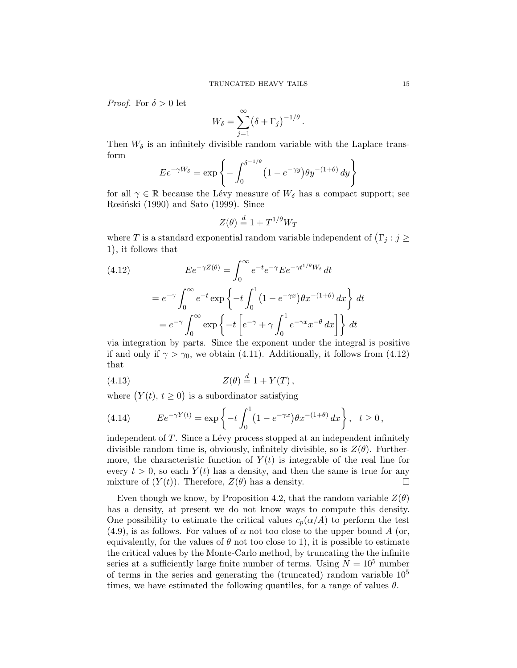*Proof.* For  $\delta > 0$  let

$$
W_{\delta} = \sum_{j=1}^{\infty} (\delta + \Gamma_j)^{-1/\theta}.
$$

Then  $W_{\delta}$  is an infinitely divisible random variable with the Laplace transform

$$
E e^{-\gamma W_{\delta}} = \exp \left\{-\int_0^{\delta^{-1/\theta}} \left(1 - e^{-\gamma y}\right) \theta y^{-(1+\theta)} dy\right\}
$$

for all  $\gamma \in \mathbb{R}$  because the Lévy measure of  $W_{\delta}$  has a compact support; see Rosiński (1990) and Sato (1999). Since

$$
Z(\theta) \stackrel{d}{=} 1 + T^{1/\theta} W_T
$$

where T is a standard exponential random variable independent of  $(\Gamma_j : j \geq j)$ 1 , it follows that

(4.12) 
$$
E e^{-\gamma Z(\theta)} = \int_0^{\infty} e^{-t} e^{-\gamma} E e^{-\gamma t^{1/\theta} W_t} dt
$$

$$
= e^{-\gamma} \int_0^{\infty} e^{-t} \exp \left\{-t \int_0^1 (1 - e^{-\gamma x}) \theta x^{-(1+\theta)} dx\right\} dt
$$

$$
= e^{-\gamma} \int_0^{\infty} \exp \left\{-t \left[e^{-\gamma} + \gamma \int_0^1 e^{-\gamma x} x^{-\theta} dx\right]\right\} dt
$$

via integration by parts. Since the exponent under the integral is positive if and only if  $\gamma > \gamma_0$ , we obtain (4.11). Additionally, it follows from (4.12) that

$$
(4.13) \t\t Z(\theta) \stackrel{d}{=} 1 + Y(T),
$$

where  $(Y(t), t \geq 0)$  is a subordinator satisfying

(4.14) 
$$
E e^{-\gamma Y(t)} = \exp \left\{-t \int_0^1 (1 - e^{-\gamma x}) \theta x^{-(1+\theta)} dx \right\}, \quad t \ge 0,
$$

independent of  $T$ . Since a Lévy process stopped at an independent infinitely divisible random time is, obviously, infinitely divisible, so is  $Z(\theta)$ . Furthermore, the characteristic function of  $Y(t)$  is integrable of the real line for every  $t > 0$ , so each  $Y(t)$  has a density, and then the same is true for any mixture of  $(Y(t))$ . Therefore,  $Z(\theta)$  has a density.

Even though we know, by Proposition 4.2, that the random variable  $Z(\theta)$ has a density, at present we do not know ways to compute this density. One possibility to estimate the critical values  $c_p(\alpha/A)$  to perform the test  $(4.9)$ , is as follows. For values of  $\alpha$  not too close to the upper bound A (or, equivalently, for the values of  $\theta$  not too close to 1), it is possible to estimate the critical values by the Monte-Carlo method, by truncating the the infinite series at a sufficiently large finite number of terms. Using  $N = 10^5$  number of terms in the series and generating the (truncated) random variable  $10<sup>5</sup>$ times, we have estimated the following quantiles, for a range of values  $\theta$ .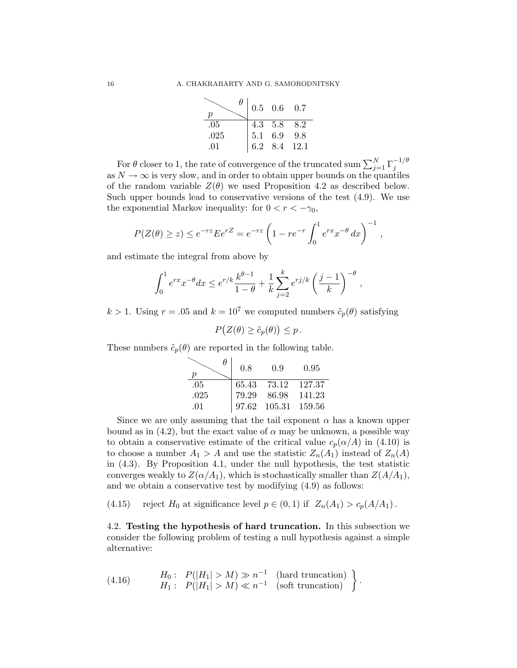| р    |     | $0.5\quad 0.6$                                                                          | 0.7 |
|------|-----|-----------------------------------------------------------------------------------------|-----|
| .05  |     |                                                                                         |     |
| .025 | 5.1 |                                                                                         |     |
| .01  |     | $\begin{array}{ccc} 4.3 & 5.8 & 8.2 \\ 5.1 & 6.9 & 9.8 \\ 6.2 & 8.4 & 12.1 \end{array}$ |     |

For  $\theta$  closer to 1, the rate of convergence of the truncated sum  $\sum_{j=1}^{N} \Gamma_j^{-1/\theta}$ j as  $N \to \infty$  is very slow, and in order to obtain upper bounds on the quantiles of the random variable  $Z(\theta)$  we used Proposition 4.2 as described below. Such upper bounds lead to conservative versions of the test (4.9). We use the exponential Markov inequality: for  $0 < r < -\gamma_0$ ,

$$
P(Z(\theta) \ge z) \le e^{-rz} E e^{rZ} = e^{-rz} \left( 1 - r e^{-r} \int_0^1 e^{rx} x^{-\theta} dx \right)^{-1},
$$

and estimate the integral from above by

$$
\int_0^1 e^{rx} x^{-\theta} dx \le e^{r/k} \frac{k^{\theta-1}}{1-\theta} + \frac{1}{k} \sum_{j=2}^k e^{rj/k} \left(\frac{j-1}{k}\right)^{-\theta},
$$

k > 1. Using  $r = .05$  and  $k = 10^7$  we computed numbers  $\tilde{c}_p(\theta)$  satisfying

 $P(Z(\theta) \geq \tilde{c}_p(\theta)) \leq p$ .

These numbers  $\tilde{c}_p(\theta)$  are reported in the following table.

| $\theta_-$<br>р | 0.8 | 0.9                                                                                                           | 0.95 |
|-----------------|-----|---------------------------------------------------------------------------------------------------------------|------|
| .05             |     |                                                                                                               |      |
| .025            |     | $\begin{array}{cccc} 65.43 & 73.12 & 127.37 \\ 79.29 & 86.98 & 141.23 \\ 97.62 & 105.31 & 159.56 \end{array}$ |      |
| $\Omega$ 1      |     |                                                                                                               |      |

Since we are only assuming that the tail exponent  $\alpha$  has a known upper bound as in (4.2), but the exact value of  $\alpha$  may be unknown, a possible way to obtain a conservative estimate of the critical value  $c_p(\alpha/A)$  in (4.10) is to choose a number  $A_1 > A$  and use the statistic  $Z_n(A_1)$  instead of  $Z_n(A)$ in (4.3). By Proposition 4.1, under the null hypothesis, the test statistic converges weakly to  $Z(\alpha/A_1)$ , which is stochastically smaller than  $Z(A/A_1)$ , and we obtain a conservative test by modifying (4.9) as follows:

(4.15) reject  $H_0$  at significance level  $p \in (0,1)$  if  $Z_n(A_1) > c_p(A/A_1)$ .

4.2. Testing the hypothesis of hard truncation. In this subsection we consider the following problem of testing a null hypothesis against a simple alternative:

(4.16) 
$$
H_0: P(|H_1| > M) \gg n^{-1} \text{ (hard truncation)}
$$

$$
H_1: P(|H_1| > M) \ll n^{-1} \text{ (soft truncation)}
$$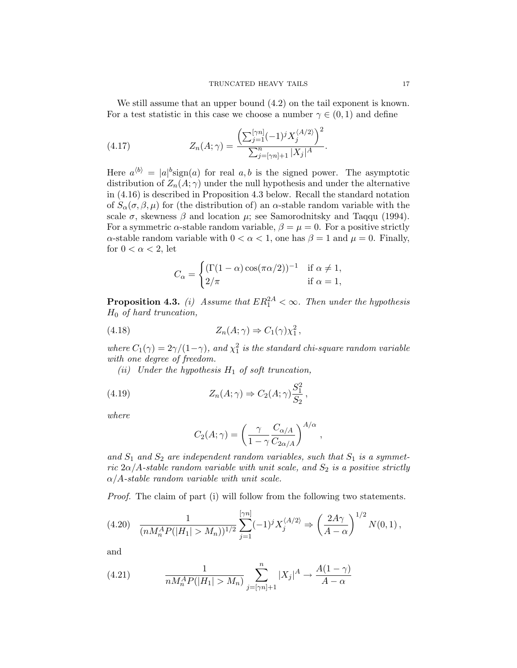We still assume that an upper bound  $(4.2)$  on the tail exponent is known. For a test statistic in this case we choose a number  $\gamma \in (0,1)$  and define

(4.17) 
$$
Z_n(A; \gamma) = \frac{\left(\sum_{j=1}^{\lfloor \gamma n \rfloor} (-1)^j X_j^{\langle A/2 \rangle} \right)^2}{\sum_{j=\lfloor \gamma n \rfloor+1}^n |X_j|^A}.
$$

Here  $a^{(b)} = |a|^{b}$ sign(a) for real a, b is the signed power. The asymptotic distribution of  $Z_n(A; \gamma)$  under the null hypothesis and under the alternative in (4.16) is described in Proposition 4.3 below. Recall the standard notation of  $S_{\alpha}(\sigma, \beta, \mu)$  for (the distribution of) an  $\alpha$ -stable random variable with the scale  $\sigma$ , skewness  $\beta$  and location  $\mu$ ; see Samorodnitsky and Taqqu (1994). For a symmetric  $\alpha$ -stable random variable,  $\beta = \mu = 0$ . For a positive strictly  $\alpha$ -stable random variable with  $0 < \alpha < 1$ , one has  $\beta = 1$  and  $\mu = 0$ . Finally, for  $0 < \alpha < 2$ , let

$$
C_{\alpha} = \begin{cases} (\Gamma(1-\alpha)\cos(\pi\alpha/2))^{-1} & \text{if } \alpha \neq 1, \\ 2/\pi & \text{if } \alpha = 1, \end{cases}
$$

**Proposition 4.3.** (i) Assume that  $ER_1^{2A} < \infty$ . Then under the hypothesis  $H_0$  of hard truncation,

(4.18) 
$$
Z_n(A; \gamma) \Rightarrow C_1(\gamma) \chi_1^2,
$$

where  $C_1(\gamma) = 2\gamma/(1-\gamma)$ , and  $\chi_1^2$  is the standard chi-square random variable with one degree of freedom.

(ii) Under the hypothesis  $H_1$  of soft truncation,

(4.19) 
$$
Z_n(A; \gamma) \Rightarrow C_2(A; \gamma) \frac{S_1^2}{S_2},
$$

where

$$
C_2(A; \gamma) = \left(\frac{\gamma}{1 - \gamma} \frac{C_{\alpha/A}}{C_{2\alpha/A}}\right)^{A/\alpha}
$$

,

and  $S_1$  and  $S_2$  are independent random variables, such that  $S_1$  is a symmetric  $2\alpha/A$ -stable random variable with unit scale, and  $S_2$  is a positive strictly  $\alpha/A$ -stable random variable with unit scale.

Proof. The claim of part (i) will follow from the following two statements.

$$
(4.20) \quad \frac{1}{(nM_n^A P(|H_1| > M_n))^{1/2}} \sum_{j=1}^{\lfloor \gamma n \rfloor} (-1)^j X_j^{\langle A/2 \rangle} \Rightarrow \left(\frac{2A\gamma}{A - \alpha}\right)^{1/2} N(0, 1),
$$

and

(4.21) 
$$
\frac{1}{n M_n^A P(|H_1| > M_n)} \sum_{j=[\gamma n]+1}^n |X_j|^A \to \frac{A(1-\gamma)}{A-\alpha}
$$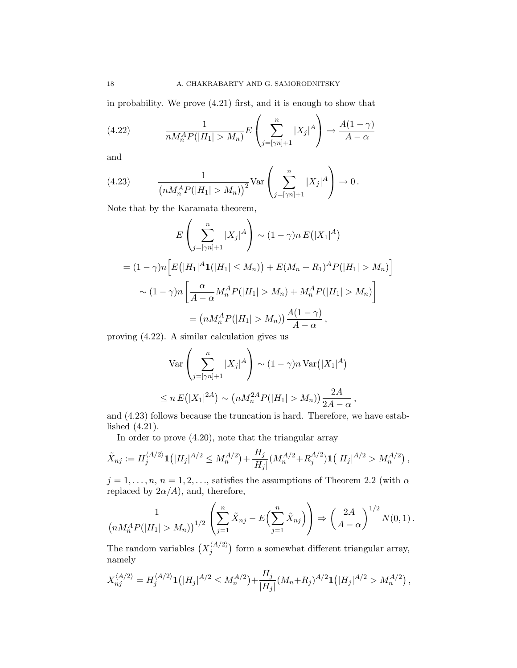in probability. We prove (4.21) first, and it is enough to show that

(4.22) 
$$
\frac{1}{n M_n^A P(|H_1| > M_n)} E\left(\sum_{j=[\gamma n]+1}^n |X_j|^A\right) \to \frac{A(1-\gamma)}{A-\alpha}
$$

and

(4.23) 
$$
\frac{1}{(nM_n^A P(|H_1| > M_n))^{2}} \text{Var}\left(\sum_{j=[\gamma n]+1}^n |X_j|^A\right) \to 0.
$$

Note that by the Karamata theorem,

$$
E\left(\sum_{j=[\gamma n]+1}^{n} |X_j|^A\right) \sim (1-\gamma)n E(|X_1|^A)
$$
  
=  $(1-\gamma)n \Big[ E(|H_1|^A \mathbf{1}(|H_1| \le M_n)) + E(M_n + R_1)^A P(|H_1| > M_n) \Big]$   
 $\sim (1-\gamma)n \Big[ \frac{\alpha}{A-\alpha} M_n^A P(|H_1| > M_n) + M_n^A P(|H_1| > M_n) \Big]$   
=  $(n M_n^A P(|H_1| > M_n)) \frac{A(1-\gamma)}{A-\alpha},$ 

proving (4.22). A similar calculation gives us

$$
\operatorname{Var}\left(\sum_{j=[\gamma n]+1}^{n} |X_j|^A\right) \sim (1-\gamma)n \operatorname{Var}(|X_1|^A)
$$
  

$$
\leq n E(|X_1|^{2A}) \sim (n M_n^{2A} P(|H_1| > M_n)) \frac{2A}{2A - \alpha},
$$

and (4.23) follows because the truncation is hard. Therefore, we have established (4.21).

In order to prove (4.20), note that the triangular array

$$
\tilde{X}_{nj} := H_j^{\langle A/2 \rangle} \mathbf{1}(|H_j|^{A/2} \le M_n^{A/2}) + \frac{H_j}{|H_j|} (M_n^{A/2} + R_j^{A/2}) \mathbf{1}(|H_j|^{A/2} > M_n^{A/2}),
$$

 $j = 1, \ldots, n, n = 1, 2, \ldots$ , satisfies the assumptions of Theorem 2.2 (with  $\alpha$ replaced by  $2\alpha/A$ ), and, therefore,

$$
\frac{1}{(nM_n^A P(|H_1| > M_n))^{1/2}} \left( \sum_{j=1}^n \tilde{X}_{nj} - E\left(\sum_{j=1}^n \tilde{X}_{nj}\right) \right) \Rightarrow \left(\frac{2A}{A - \alpha}\right)^{1/2} N(0, 1).
$$

The random variables  $(X_i^{\langle A/2 \rangle})$  $j_j^{(A/2)}$  form a somewhat different triangular array, namely

$$
X_{nj}^{\langle A/2 \rangle} = H_j^{\langle A/2 \rangle} \mathbf{1} \left( |H_j|^{A/2} \le M_n^{A/2} \right) + \frac{H_j}{|H_j|} (M_n + R_j)^{A/2} \mathbf{1} \left( |H_j|^{A/2} > M_n^{A/2} \right),
$$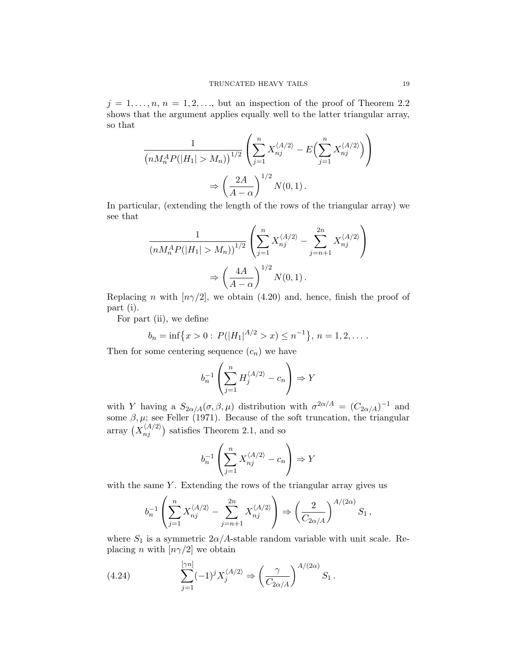$j = 1, \ldots, n, n = 1, 2, \ldots$ , but an inspection of the proof of Theorem 2.2 shows that the argument applies equally well to the latter triangular array, so that

$$
\frac{1}{(nM_n^A P(|H_1| > M_n))^{1/2}} \left( \sum_{j=1}^n X_{nj}^{\langle A/2 \rangle} - E \left( \sum_{j=1}^n X_{nj}^{\langle A/2 \rangle} \right) \right)
$$
  

$$
\Rightarrow \left( \frac{2A}{A - \alpha} \right)^{1/2} N(0, 1).
$$

In particular, (extending the length of the rows of the triangular array) we see that

$$
\frac{1}{(nM_n^A P(|H_1| > M_n))^{1/2}} \left( \sum_{j=1}^n X_{nj}^{\langle A/2 \rangle} - \sum_{j=n+1}^{2n} X_{nj}^{\langle A/2 \rangle} \right)
$$

$$
\Rightarrow \left( \frac{4A}{A - \alpha} \right)^{1/2} N(0, 1).
$$

Replacing *n* with  $\lfloor n\gamma/2 \rfloor$ , we obtain (4.20) and, hence, finish the proof of part (i).

For part (ii), we define

$$
b_n = \inf\{x > 0 : P(|H_1|^{A/2} > x) \le n^{-1}\}, n = 1, 2, \dots
$$

Then for some centering sequence  $(c_n)$  we have

$$
b_n^{-1} \left( \sum_{j=1}^n H_j^{\langle A/2 \rangle} - c_n \right) \Rightarrow Y
$$

with Y having a  $S_{2\alpha/A}(\sigma,\beta,\mu)$  distribution with  $\sigma^{2\alpha/A} = (C_{2\alpha/A})^{-1}$  and some  $\beta, \mu$ ; see Feller (1971). Because of the soft truncation, the triangular array  $(X_{nj}^{\langle A/2 \rangle})$  satisfies Theorem 2.1, and so

$$
b_n^{-1} \left( \sum_{j=1}^n X_{nj}^{\langle A/2 \rangle} - c_n \right) \Rightarrow Y
$$

with the same  $Y$ . Extending the rows of the triangular array gives us

$$
b_n^{-1} \left( \sum_{j=1}^n X_{nj}^{\langle A/2 \rangle} - \sum_{j=n+1}^{2n} X_{nj}^{\langle A/2 \rangle} \right) \Rightarrow \left( \frac{2}{C_{2\alpha/A}} \right)^{A/(2\alpha)} S_1,
$$

where  $S_1$  is a symmetric  $2\alpha/A$ -stable random variable with unit scale. Replacing *n* with  $\lfloor n\gamma/2 \rfloor$  we obtain

(4.24) 
$$
\sum_{j=1}^{[\gamma n]} (-1)^j X_j^{\langle A/2 \rangle} \Rightarrow \left(\frac{\gamma}{C_{2\alpha/A}}\right)^{A/(2\alpha)} S_1.
$$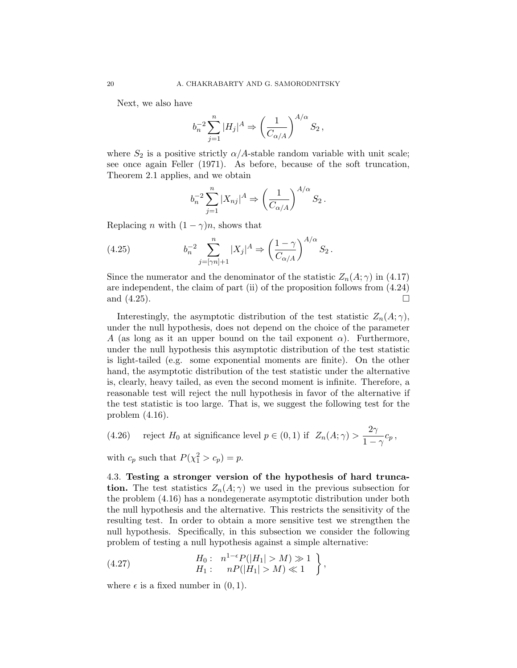Next, we also have

$$
b_n^{-2} \sum_{j=1}^n |H_j|^A \Rightarrow \left(\frac{1}{C_{\alpha/A}}\right)^{A/\alpha} S_2,
$$

where  $S_2$  is a positive strictly  $\alpha/A$ -stable random variable with unit scale; see once again Feller (1971). As before, because of the soft truncation, Theorem 2.1 applies, and we obtain

$$
b_n^{-2} \sum_{j=1}^n |X_{nj}|^A \Rightarrow \left(\frac{1}{C_{\alpha/A}}\right)^{A/\alpha} S_2.
$$

Replacing *n* with  $(1 - \gamma)n$ , shows that

(4.25) 
$$
b_n^{-2} \sum_{j=[\gamma n]+1}^n |X_j|^A \Rightarrow \left(\frac{1-\gamma}{C_{\alpha/A}}\right)^{A/\alpha} S_2.
$$

Since the numerator and the denominator of the statistic  $Z_n(A; \gamma)$  in (4.17) are independent, the claim of part (ii) of the proposition follows from (4.24) and  $(4.25)$ .

Interestingly, the asymptotic distribution of the test statistic  $Z_n(A; \gamma)$ , under the null hypothesis, does not depend on the choice of the parameter A (as long as it an upper bound on the tail exponent  $\alpha$ ). Furthermore, under the null hypothesis this asymptotic distribution of the test statistic is light-tailed (e.g. some exponential moments are finite). On the other hand, the asymptotic distribution of the test statistic under the alternative is, clearly, heavy tailed, as even the second moment is infinite. Therefore, a reasonable test will reject the null hypothesis in favor of the alternative if the test statistic is too large. That is, we suggest the following test for the problem (4.16).

(4.26) reject H<sub>0</sub> at significance level  $p \in (0,1)$  if  $Z_n(A; \gamma) > \frac{2\gamma}{1}$  $\frac{27}{1-\gamma}c_p,$ 

with  $c_p$  such that  $P(\chi_1^2 > c_p) = p$ .

4.3. Testing a stronger version of the hypothesis of hard truncation. The test statistics  $Z_n(A; \gamma)$  we used in the previous subsection for the problem (4.16) has a nondegenerate asymptotic distribution under both the null hypothesis and the alternative. This restricts the sensitivity of the resulting test. In order to obtain a more sensitive test we strengthen the null hypothesis. Specifically, in this subsection we consider the following problem of testing a null hypothesis against a simple alternative:

(4.27) 
$$
H_0: n^{1-\epsilon}P(|H_1| > M) \gg 1 \nH_1: nP(|H_1| > M) \ll 1
$$

where  $\epsilon$  is a fixed number in  $(0, 1)$ .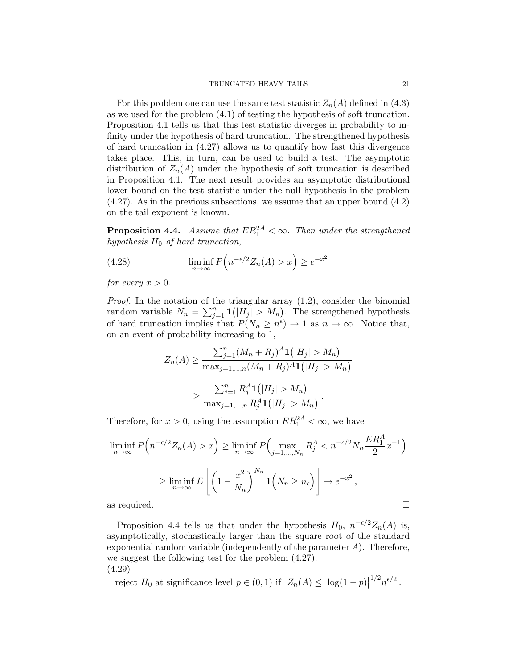For this problem one can use the same test statistic  $Z_n(A)$  defined in (4.3) as we used for the problem (4.1) of testing the hypothesis of soft truncation. Proposition 4.1 tells us that this test statistic diverges in probability to infinity under the hypothesis of hard truncation. The strengthened hypothesis of hard truncation in (4.27) allows us to quantify how fast this divergence takes place. This, in turn, can be used to build a test. The asymptotic distribution of  $Z_n(A)$  under the hypothesis of soft truncation is described in Proposition 4.1. The next result provides an asymptotic distributional lower bound on the test statistic under the null hypothesis in the problem (4.27). As in the previous subsections, we assume that an upper bound (4.2) on the tail exponent is known.

**Proposition 4.4.** Assume that  $ER_1^{2A} < \infty$ . Then under the strengthened hypothesis  $H_0$  of hard truncation,

(4.28) 
$$
\liminf_{n \to \infty} P\left(n^{-\epsilon/2} Z_n(A) > x\right) \ge e^{-x^2}
$$

for every  $x > 0$ .

Proof. In the notation of the triangular array (1.2), consider the binomial random variable  $N_n = \sum_{j=1}^n \mathbf{1}(|H_j| > M_n)$ . The strengthened hypothesis of hard truncation implies that  $P(N_n \geq n^{\epsilon}) \to 1$  as  $n \to \infty$ . Notice that, on an event of probability increasing to 1,

$$
Z_n(A) \ge \frac{\sum_{j=1}^n (M_n + R_j)^A \mathbf{1}(|H_j| > M_n)}{\max_{j=1,\dots,n} (M_n + R_j)^A \mathbf{1}(|H_j| > M_n)}
$$
  

$$
\ge \frac{\sum_{j=1}^n R_j^A \mathbf{1}(|H_j| > M_n)}{\max_{j=1,\dots,n} R_j^A \mathbf{1}(|H_j| > M_n)}.
$$

Therefore, for  $x > 0$ , using the assumption  $ER_1^{2A} < \infty$ , we have

$$
\liminf_{n \to \infty} P\left(n^{-\epsilon/2} Z_n(A) > x\right) \ge \liminf_{n \to \infty} P\left(\max_{j=1,\dots,N_n} R_j^A < n^{-\epsilon/2} N_n \frac{ER_1^A}{2} x^{-1}\right)
$$
\n
$$
\ge \liminf_{n \to \infty} E\left[\left(1 - \frac{x^2}{N_n}\right)^{N_n} \mathbf{1}\left(N_n \ge n_{\epsilon}\right)\right] \to e^{-x^2},
$$
\nas required.

Proposition 4.4 tells us that under the hypothesis  $H_0$ ,  $n^{-\epsilon/2}Z_n(A)$  is, asymptotically, stochastically larger than the square root of the standard exponential random variable (independently of the parameter  $A$ ). Therefore, we suggest the following test for the problem (4.27). (4.29)

reject  $H_0$  at significance level  $p \in (0,1)$  if  $Z_n(A) \leq |\log(1-p)|$  $^{1/2}n^{\epsilon/2}$  .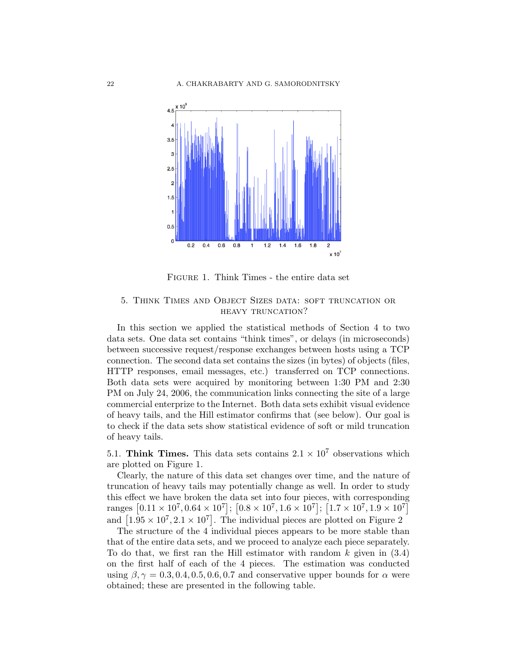

Figure 1. Think Times - the entire data set

# 5. Think Times and Object Sizes data: soft truncation or heavy truncation?

In this section we applied the statistical methods of Section 4 to two data sets. One data set contains "think times", or delays (in microseconds) between successive request/response exchanges between hosts using a TCP connection. The second data set contains the sizes (in bytes) of objects (files, HTTP responses, email messages, etc.) transferred on TCP connections. Both data sets were acquired by monitoring between 1:30 PM and 2:30 PM on July 24, 2006, the communication links connecting the site of a large commercial enterprize to the Internet. Both data sets exhibit visual evidence of heavy tails, and the Hill estimator confirms that (see below). Our goal is to check if the data sets show statistical evidence of soft or mild truncation of heavy tails.

5.1. Think Times. This data sets contains  $2.1 \times 10^7$  observations which are plotted on Figure 1.

Clearly, the nature of this data set changes over time, and the nature of truncation of heavy tails may potentially change as well. In order to study this effect we have broken the data set into four pieces, with corresponding ranges  $[0.11 \times 10^7, 0.64 \times 10^7]$ ;  $[0.8 \times 10^7, 1.6 \times 10^7]$ ;  $[1.7 \times 10^7, 1.9 \times 10^7]$ and  $[1.95 \times 10^7, 2.1 \times 10^7]$ . The individual pieces are plotted on Figure 2

The structure of the 4 individual pieces appears to be more stable than that of the entire data sets, and we proceed to analyze each piece separately. To do that, we first ran the Hill estimator with random  $k$  given in  $(3.4)$ on the first half of each of the 4 pieces. The estimation was conducted using  $\beta$ ,  $\gamma = 0.3, 0.4, 0.5, 0.6, 0.7$  and conservative upper bounds for  $\alpha$  were obtained; these are presented in the following table.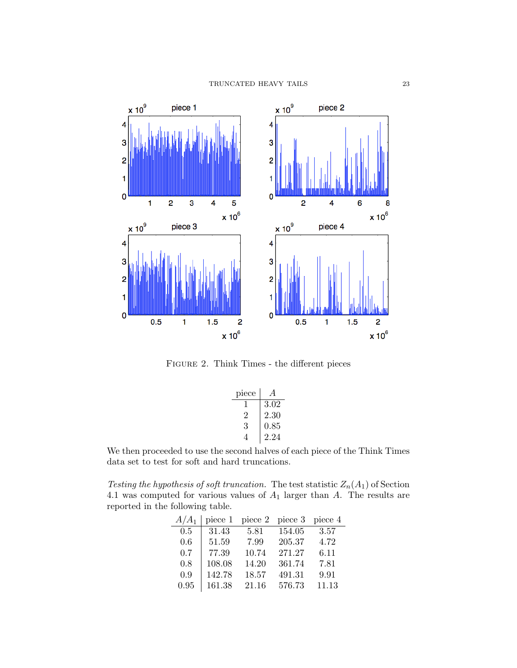### TRUNCATED HEAVY TAILS 23



Figure 2. Think Times - the different pieces

| piece |      |
|-------|------|
|       | 3.02 |
| ۰,    | 2.30 |
| 3     | 0.85 |
|       | 2.24 |

We then proceeded to use the second halves of each piece of the Think Times data set to test for soft and hard truncations.

Testing the hypothesis of soft truncation. The test statistic  $Z_n(A_1)$  of Section 4.1 was computed for various values of  $A_1$  larger than  $A$ . The results are reported in the following table.

| $A/A_1$ | piece 1 | piece 2 | piece 3 | piece 4 |
|---------|---------|---------|---------|---------|
| 0.5     | 31.43   | 5.81    | 154.05  | 3.57    |
| 0.6     | 51.59   | 7.99    | 205.37  | 4.72    |
| 0.7     | 77.39   | 10.74   | 271.27  | 6.11    |
| 0.8     | 108.08  | 14.20   | 361.74  | 7.81    |
| 0.9     | 142.78  | 18.57   | 491.31  | 9.91    |
| 0.95    | 161.38  | 21.16   | 576.73  | 11.13   |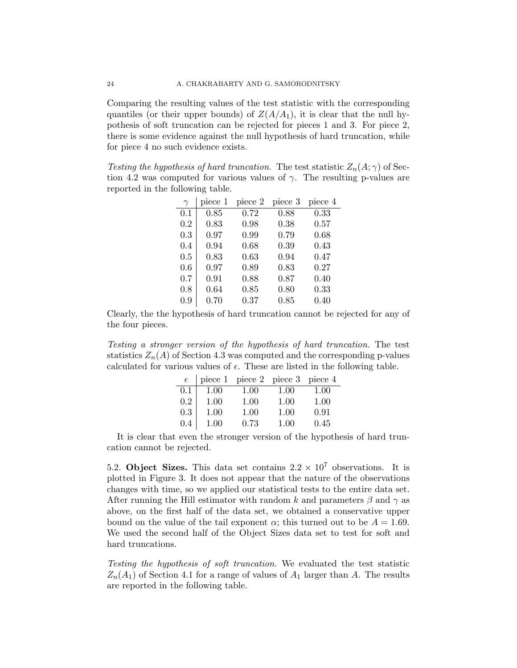Comparing the resulting values of the test statistic with the corresponding quantiles (or their upper bounds) of  $Z(A/A_1)$ , it is clear that the null hypothesis of soft truncation can be rejected for pieces 1 and 3. For piece 2, there is some evidence against the null hypothesis of hard truncation, while for piece 4 no such evidence exists.

Testing the hypothesis of hard truncation. The test statistic  $Z_n(A; \gamma)$  of Section 4.2 was computed for various values of  $\gamma$ . The resulting p-values are reported in the following table.

| $\gamma$ | piece 1 | piece 2 | piece 3 | piece 4 |
|----------|---------|---------|---------|---------|
| 0.1      | 0.85    | 0.72    | 0.88    | 0.33    |
| 0.2      | 0.83    | 0.98    | 0.38    | 0.57    |
| 0.3      | 0.97    | 0.99    | 0.79    | 0.68    |
| 0.4      | 0.94    | 0.68    | 0.39    | 0.43    |
| 0.5      | 0.83    | 0.63    | 0.94    | 0.47    |
| 0.6      | 0.97    | 0.89    | 0.83    | 0.27    |
| 0.7      | 0.91    | 0.88    | 0.87    | 0.40    |
| 0.8      | 0.64    | 0.85    | 0.80    | 0.33    |
| 0.9      | 0.70    | 0.37    | 0.85    | 0.40    |

Clearly, the the hypothesis of hard truncation cannot be rejected for any of the four pieces.

Testing a stronger version of the hypothesis of hard truncation. The test statistics  $Z_n(A)$  of Section 4.3 was computed and the corresponding p-values calculated for various values of  $\epsilon.$  These are listed in the following table.

| $\epsilon$ |      | piece $1$ piece $2$ piece $3$ |      | piece 4 |
|------------|------|-------------------------------|------|---------|
| 0.1        | 1.00 | 1.00                          | 1.00 | 1.00    |
| 0.2        | 1.00 | 1.00                          | 1.00 | 1.00    |
| 0.3        | 1.00 | 1.00                          | 1.00 | 0.91    |
| 0.4        | 1.00 | 0.73                          | 1.00 | 0.45    |

It is clear that even the stronger version of the hypothesis of hard truncation cannot be rejected.

5.2. Object Sizes. This data set contains  $2.2 \times 10^7$  observations. It is plotted in Figure 3. It does not appear that the nature of the observations changes with time, so we applied our statistical tests to the entire data set. After running the Hill estimator with random k and parameters  $\beta$  and  $\gamma$  as above, on the first half of the data set, we obtained a conservative upper bound on the value of the tail exponent  $\alpha$ ; this turned out to be  $A = 1.69$ . We used the second half of the Object Sizes data set to test for soft and hard truncations.

Testing the hypothesis of soft truncation. We evaluated the test statistic  $Z_n(A_1)$  of Section 4.1 for a range of values of  $A_1$  larger than A. The results are reported in the following table.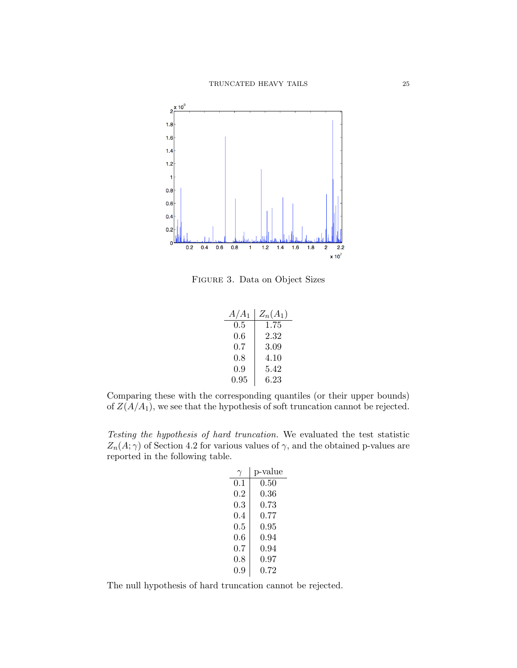

Figure 3. Data on Object Sizes

| $A/A_1$    | $Z_n(A_1)$ |
|------------|------------|
| 0.5        | 1.75       |
| $0.6\,$    | $2.32\,$   |
| $0.7\,$    | 3.09       |
| $0.8\,$    | $4.10\,$   |
| 0.9        | 5.42       |
| $\rm 0.95$ | 6.23       |

Comparing these with the corresponding quantiles (or their upper bounds) of  $Z(A/A_1)$ , we see that the hypothesis of soft truncation cannot be rejected.

Testing the hypothesis of hard truncation. We evaluated the test statistic  $Z_n(A; \gamma)$  of Section 4.2 for various values of  $\gamma$ , and the obtained p-values are reported in the following table.

| ΄ γ      | p-value  |
|----------|----------|
| 0.1      | 0.50     |
| $0.2\,$  | $0.36\,$ |
| 0.3      | 0.73     |
| 0.4      | 0.77     |
| 0.5      | 0.95     |
| 0.6      | 0.94     |
| 0.7      | 0.94     |
| $_{0.8}$ | 0.97     |
| 0.9      | ${0.72}$ |

The null hypothesis of hard truncation cannot be rejected.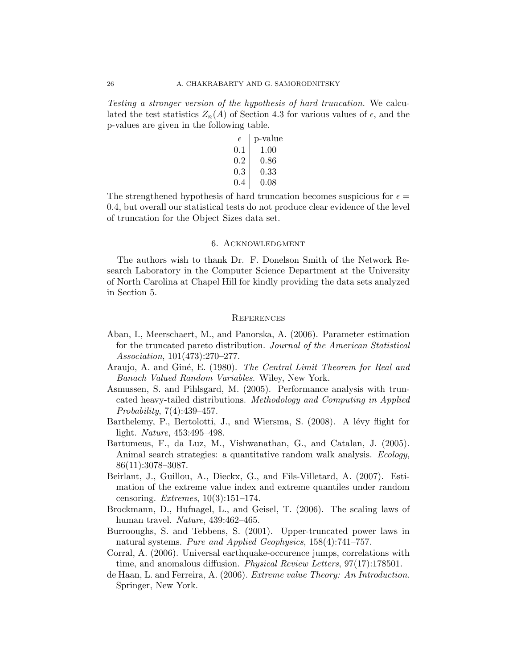Testing a stronger version of the hypothesis of hard truncation. We calculated the test statistics  $Z_n(A)$  of Section 4.3 for various values of  $\epsilon$ , and the p-values are given in the following table.

| F       | p-value    |
|---------|------------|
| 0.1     | 1.00       |
| $0.2\,$ | 0.86       |
| $0.3\,$ | $\rm 0.33$ |
| (0.4)   | 0.08       |

The strengthened hypothesis of hard truncation becomes suspicious for  $\epsilon =$ 0.4, but overall our statistical tests do not produce clear evidence of the level of truncation for the Object Sizes data set.

#### 6. Acknowledgment

The authors wish to thank Dr. F. Donelson Smith of the Network Research Laboratory in the Computer Science Department at the University of North Carolina at Chapel Hill for kindly providing the data sets analyzed in Section 5.

#### **REFERENCES**

- Aban, I., Meerschaert, M., and Panorska, A. (2006). Parameter estimation for the truncated pareto distribution. Journal of the American Statistical Association, 101(473):270–277.
- Araujo, A. and Giné, E. (1980). The Central Limit Theorem for Real and Banach Valued Random Variables. Wiley, New York.
- Asmussen, S. and Pihlsgard, M. (2005). Performance analysis with truncated heavy-tailed distributions. Methodology and Computing in Applied Probability, 7(4):439–457.
- Barthelemy, P., Bertolotti, J., and Wiersma, S. (2008). A lévy flight for light. Nature, 453:495–498.
- Bartumeus, F., da Luz, M., Vishwanathan, G., and Catalan, J. (2005). Animal search strategies: a quantitative random walk analysis. Ecology, 86(11):3078–3087.
- Beirlant, J., Guillou, A., Dieckx, G., and Fils-Villetard, A. (2007). Estimation of the extreme value index and extreme quantiles under random censoring. *Extremes*,  $10(3):151-174$ .
- Brockmann, D., Hufnagel, L., and Geisel, T. (2006). The scaling laws of human travel. Nature, 439:462–465.
- Burrooughs, S. and Tebbens, S. (2001). Upper-truncated power laws in natural systems. Pure and Applied Geophysics, 158(4):741–757.
- Corral, A. (2006). Universal earthquake-occurence jumps, correlations with time, and anomalous diffusion. *Physical Review Letters*, 97(17):178501.
- de Haan, L. and Ferreira, A. (2006). Extreme value Theory: An Introduction. Springer, New York.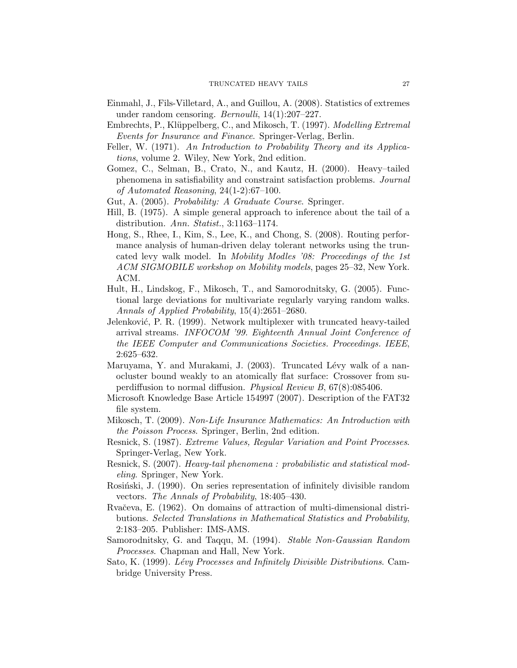- Einmahl, J., Fils-Villetard, A., and Guillou, A. (2008). Statistics of extremes under random censoring. Bernoulli, 14(1):207–227.
- Embrechts, P., Klüppelberg, C., and Mikosch, T. (1997). Modelling Extremal Events for Insurance and Finance. Springer-Verlag, Berlin.
- Feller, W. (1971). An Introduction to Probability Theory and its Applications, volume 2. Wiley, New York, 2nd edition.
- Gomez, C., Selman, B., Crato, N., and Kautz, H. (2000). Heavy–tailed phenomena in satisfiability and constraint satisfaction problems. Journal of Automated Reasoning, 24(1-2):67–100.
- Gut, A. (2005). Probability: A Graduate Course. Springer.
- Hill, B. (1975). A simple general approach to inference about the tail of a distribution. Ann. Statist., 3:1163–1174.
- Hong, S., Rhee, I., Kim, S., Lee, K., and Chong, S. (2008). Routing performance analysis of human-driven delay tolerant networks using the truncated levy walk model. In Mobility Modles '08: Proceedings of the 1st ACM SIGMOBILE workshop on Mobility models, pages 25–32, New York. ACM.
- Hult, H., Lindskog, F., Mikosch, T., and Samorodnitsky, G. (2005). Functional large deviations for multivariate regularly varying random walks. Annals of Applied Probability, 15(4):2651–2680.
- Jelenković, P. R. (1999). Network multiplexer with truncated heavy-tailed arrival streams. INFOCOM '99. Eighteenth Annual Joint Conference of the IEEE Computer and Communications Societies. Proceedings. IEEE, 2:625–632.
- Maruyama, Y. and Murakami, J. (2003). Truncated Lévy walk of a nanocluster bound weakly to an atomically flat surface: Crossover from superdiffusion to normal diffusion. Physical Review B, 67(8):085406.
- Microsoft Knowledge Base Article 154997 (2007). Description of the FAT32 file system.
- Mikosch, T. (2009). Non-Life Insurance Mathematics: An Introduction with the Poisson Process. Springer, Berlin, 2nd edition.
- Resnick, S. (1987). Extreme Values, Regular Variation and Point Processes. Springer-Verlag, New York.
- Resnick, S. (2007). Heavy-tail phenomena : probabilistic and statistical modeling. Springer, New York.
- Rosinski, J. (1990). On series representation of infinitely divisible random vectors. The Annals of Probability, 18:405–430.
- Rvačeva, E. (1962). On domains of attraction of multi-dimensional distributions. Selected Translations in Mathematical Statistics and Probability, 2:183–205. Publisher: IMS-AMS.
- Samorodnitsky, G. and Taqqu, M. (1994). Stable Non-Gaussian Random Processes. Chapman and Hall, New York.
- Sato, K. (1999). Lévy Processes and Infinitely Divisible Distributions. Cambridge University Press.